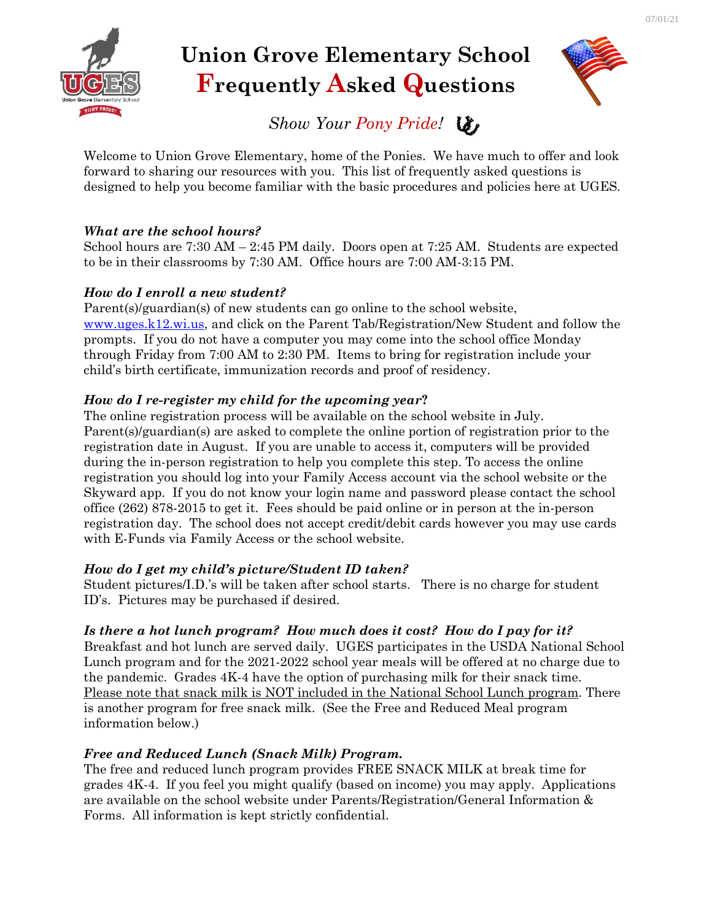

# **Union Grove Elementary School Frequently Asked Questions**



*Show Your Pony Pride!*

Welcome to Union Grove Elementary, home of the Ponies. We have much to offer and look forward to sharing our resources with you. This list of frequently asked questions is designed to help you become familiar with the basic procedures and policies here at UGES.

# *What are the school hours?*

School hours are 7:30 AM – 2:45 PM daily. Doors open at 7:25 AM. Students are expected to be in their classrooms by 7:30 AM. Office hours are 7:00 AM-3:15 PM.

# *How do I enroll a new student?*

Parent(s)/guardian(s) of new students can go online to the school website, [www.uges.k12.wi.us,](http://www.uges.k12.wi.us/) and click on the Parent Tab/Registration/New Student and follow the prompts. If you do not have a computer you may come into the school office Monday through Friday from 7:00 AM to 2:30 PM. Items to bring for registration include your child's birth certificate, immunization records and proof of residency.

# *How do I re-register my child for the upcoming year***?**

The online registration process will be available on the school website in July. Parent(s)/guardian(s) are asked to complete the online portion of registration prior to the registration date in August. If you are unable to access it, computers will be provided during the in-person registration to help you complete this step. To access the online registration you should log into your Family Access account via the school website or the Skyward app. If you do not know your login name and password please contact the school office (262) 878-2015 to get it. Fees should be paid online or in person at the in-person registration day. The school does not accept credit/debit cards however you may use cards with E-Funds via Family Access or the school website.

# *How do I get my child's picture/Student ID taken?*

Student pictures/I.D.'s will be taken after school starts. There is no charge for student ID's. Pictures may be purchased if desired.

# *Is there a hot lunch program? How much does it cost? How do I pay for it?*

Breakfast and hot lunch are served daily. UGES participates in the USDA National School Lunch program and for the 2021-2022 school year meals will be offered at no charge due to the pandemic. Grades 4K-4 have the option of purchasing milk for their snack time. Please note that snack milk is NOT included in the National School Lunch program. There is another program for free snack milk. (See the Free and Reduced Meal program information below.)

# *Free and Reduced Lunch (Snack Milk) Program.*

The free and reduced lunch program provides FREE SNACK MILK at break time for grades 4K-4. If you feel you might qualify (based on income) you may apply. Applications are available on the school website under Parents/Registration/General Information & Forms. All information is kept strictly confidential.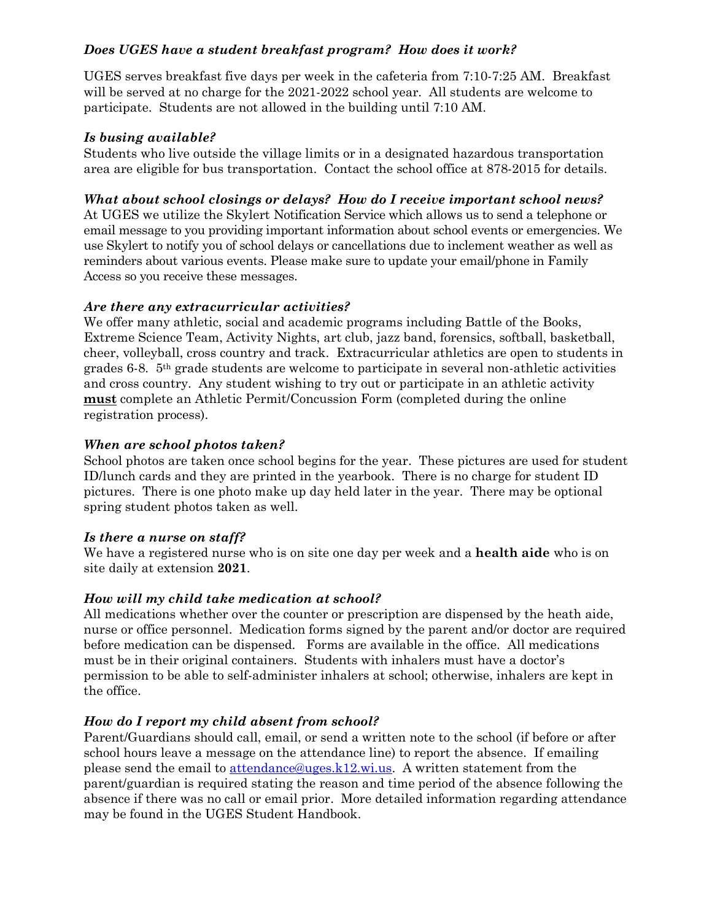## *Does UGES have a student breakfast program? How does it work?*

UGES serves breakfast five days per week in the cafeteria from 7:10-7:25 AM. Breakfast will be served at no charge for the 2021-2022 school year. All students are welcome to participate. Students are not allowed in the building until 7:10 AM.

#### *Is busing available?*

Students who live outside the village limits or in a designated hazardous transportation area are eligible for bus transportation. Contact the school office at 878-2015 for details.

### *What about school closings or delays? How do I receive important school news?*

At UGES we utilize the Skylert Notification Service which allows us to send a telephone or email message to you providing important information about school events or emergencies. We use Skylert to notify you of school delays or cancellations due to inclement weather as well as reminders about various events. Please make sure to update your email/phone in Family Access so you receive these messages.

#### *Are there any extracurricular activities?*

We offer many athletic, social and academic programs including Battle of the Books, Extreme Science Team, Activity Nights, art club, jazz band, forensics, softball, basketball, cheer, volleyball, cross country and track. Extracurricular athletics are open to students in grades 6-8. 5th grade students are welcome to participate in several non-athletic activities and cross country. Any student wishing to try out or participate in an athletic activity **must** complete an Athletic Permit/Concussion Form (completed during the online registration process).

#### *When are school photos taken?*

School photos are taken once school begins for the year. These pictures are used for student ID/lunch cards and they are printed in the yearbook. There is no charge for student ID pictures. There is one photo make up day held later in the year. There may be optional spring student photos taken as well.

#### *Is there a nurse on staff?*

We have a registered nurse who is on site one day per week and a **health aide** who is on site daily at extension **2021**.

#### *How will my child take medication at school?*

All medications whether over the counter or prescription are dispensed by the heath aide, nurse or office personnel. Medication forms signed by the parent and/or doctor are required before medication can be dispensed. Forms are available in the office. All medications must be in their original containers. Students with inhalers must have a doctor's permission to be able to self-administer inhalers at school; otherwise, inhalers are kept in the office.

# *How do I report my child absent from school?*

Parent/Guardians should call, email, or send a written note to the school (if before or after school hours leave a message on the attendance line) to report the absence. If emailing please send the email to [attendance@uges.k12.wi.us.](mailto:attendance@uges.k12.wi.us) A written statement from the parent/guardian is required stating the reason and time period of the absence following the absence if there was no call or email prior. More detailed information regarding attendance may be found in the UGES Student Handbook.